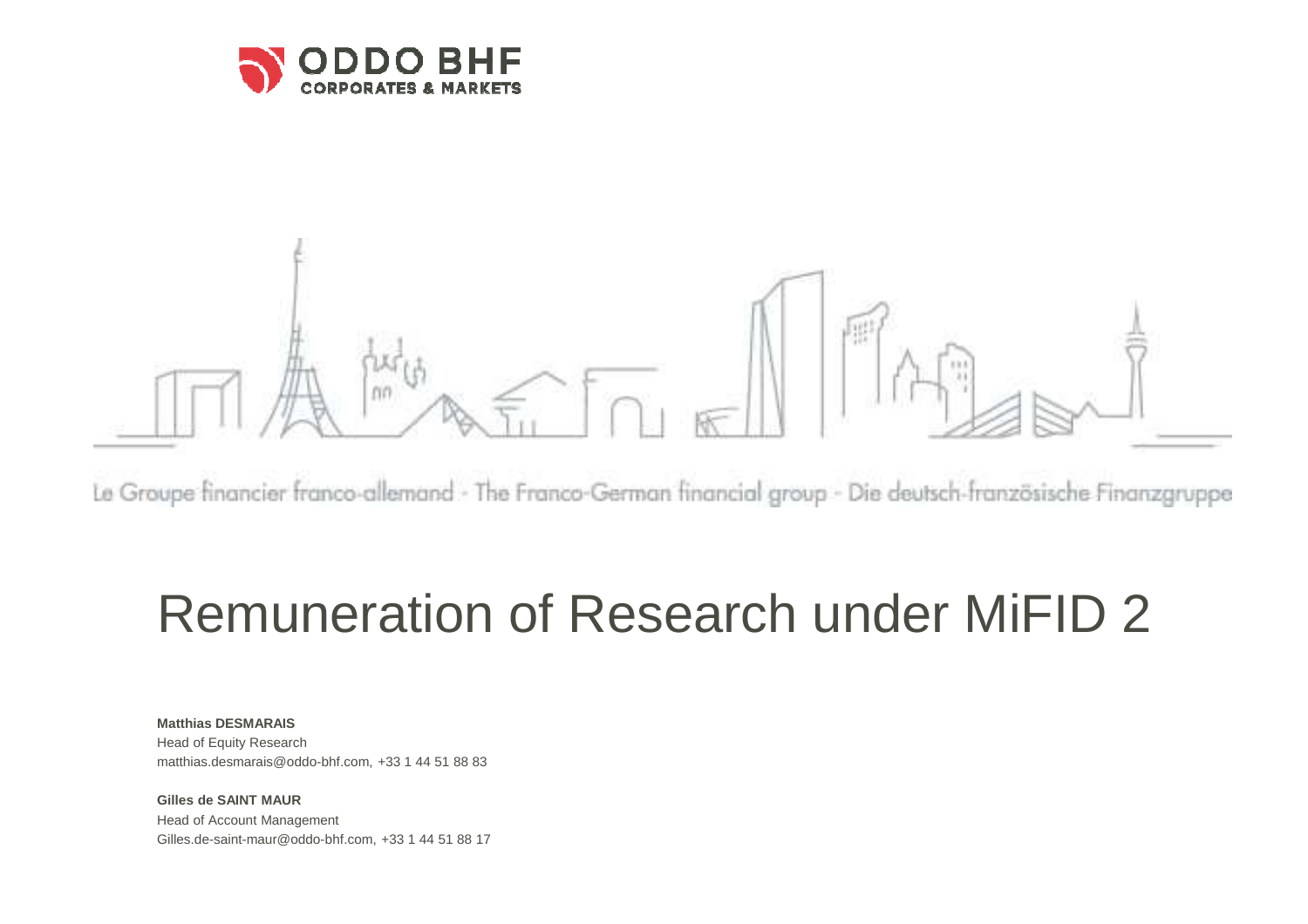

# CO.

Le Groupe financier franco-allemand - The Franco-German financial group - Die deutsch-französische Finanzgruppe

# Remuneration of Research under MiFID 2

**Matthias DESMARAIS** Head of Equity Researchmatthias.desmarais@oddo-bhf.com, +33 1 44 51 88 83

**Gilles de SAINT MAUR** Head of Account ManagementGilles.de-saint-maur@oddo-bhf.com, +33 1 44 51 88 17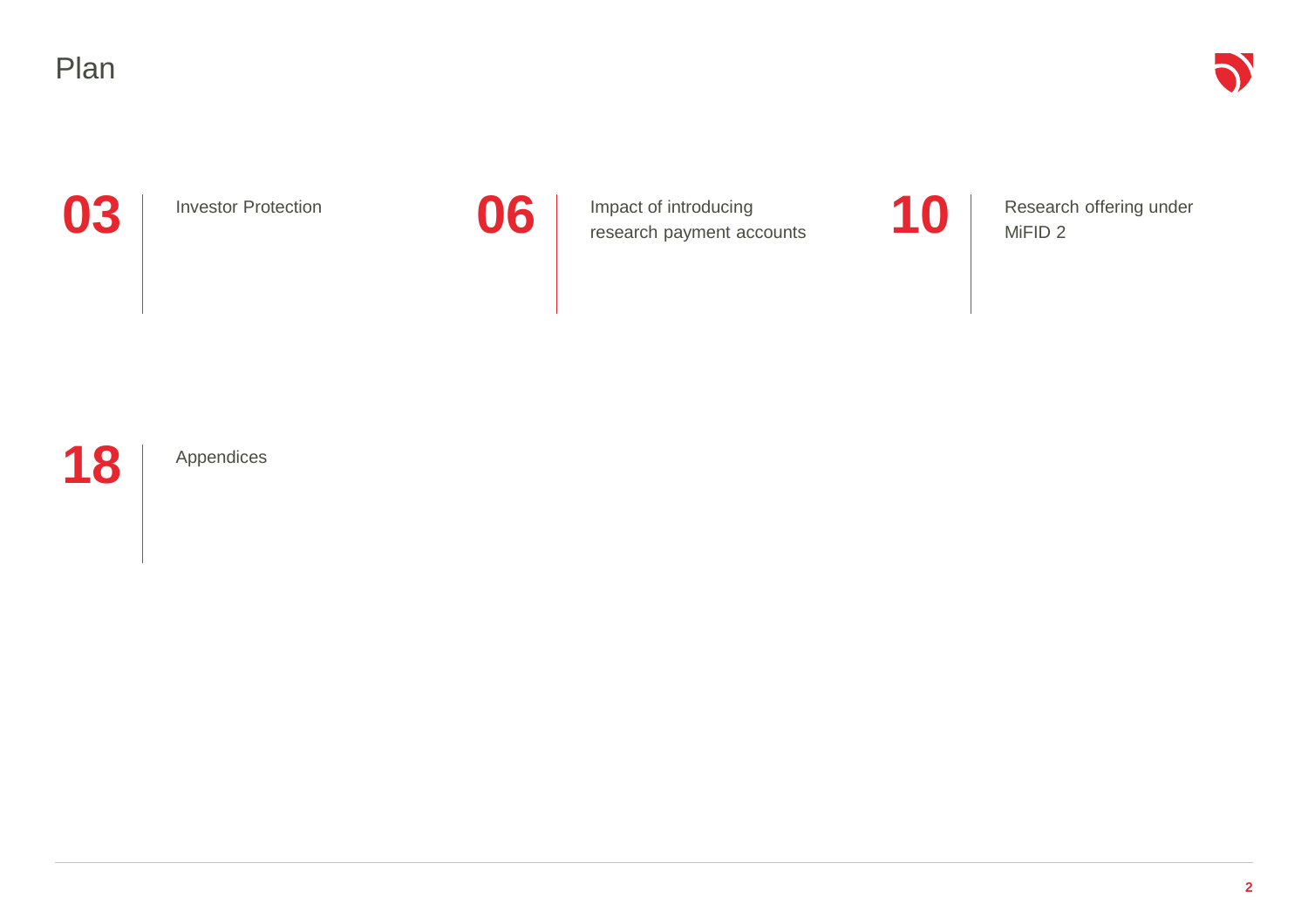

Investor Protection



**3** Investor Protection **06** Impact of introducing research payment accounts 10 Impact of introducing research payment accounts

Research offering under MiFID 2



Appendices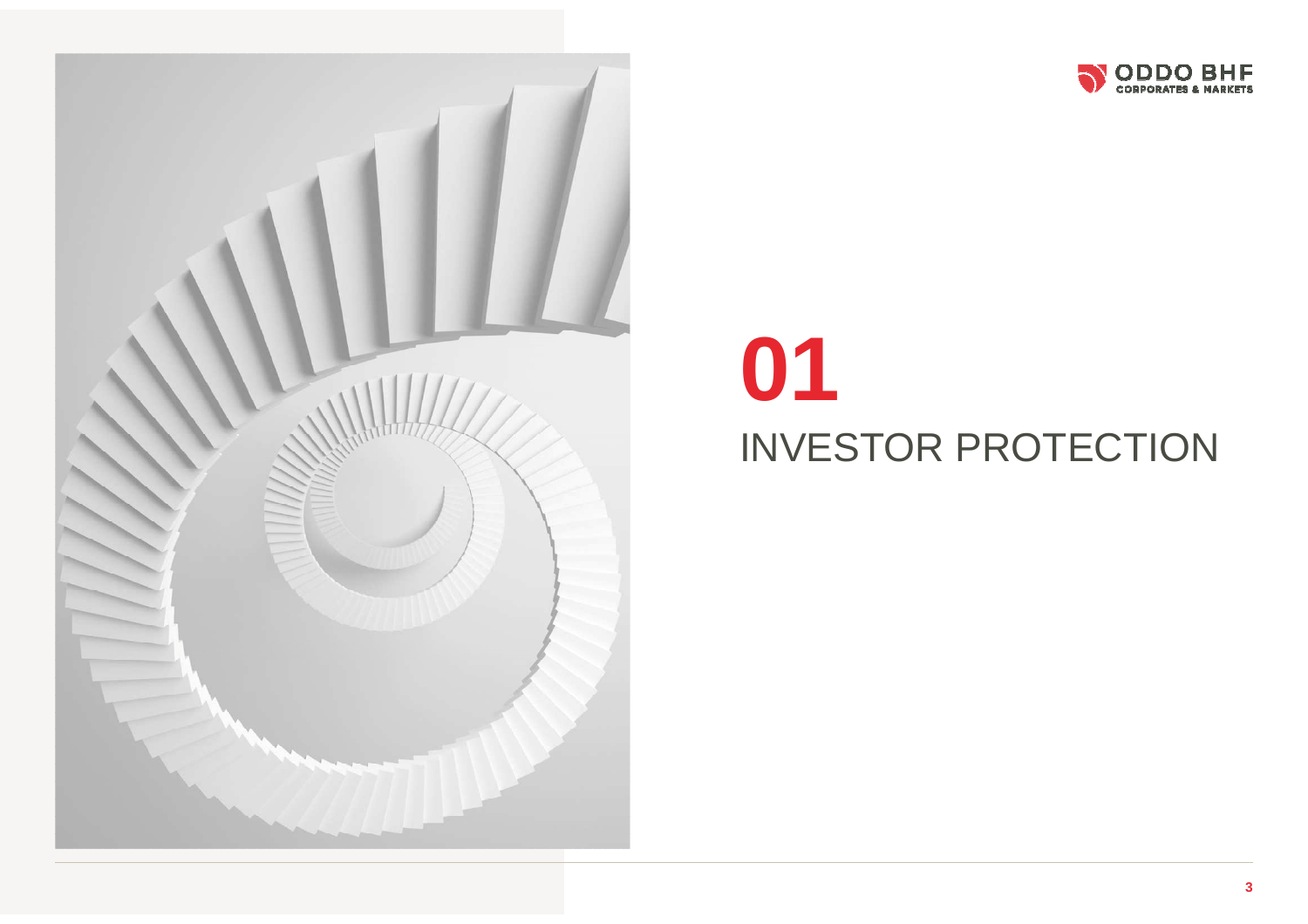



# INVESTOR PROTECTION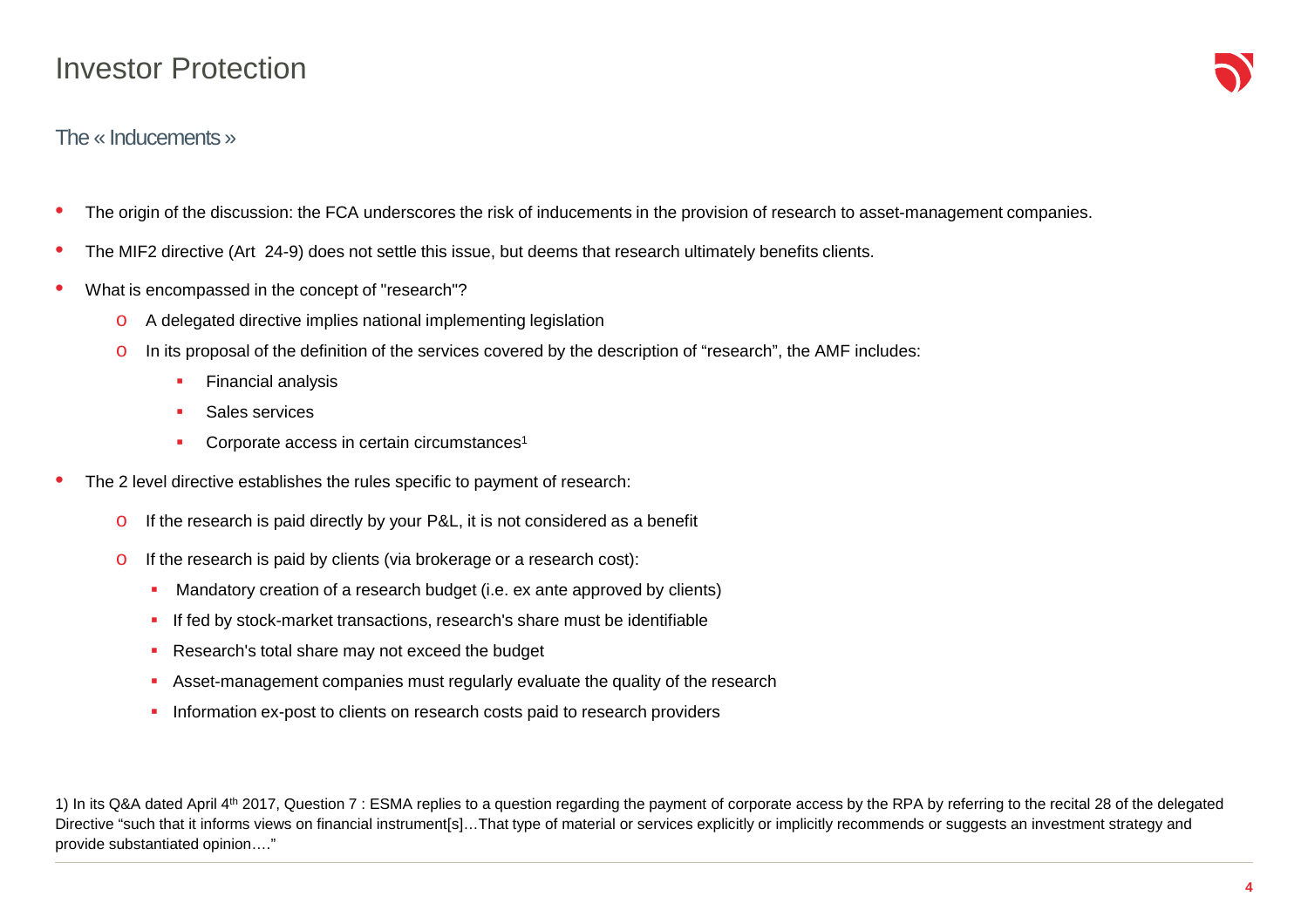#### Investor Protection

#### The « Inducements »

- $\bullet$ The origin of the discussion: the FCA underscores the risk of inducements in the provision of research to asset-management companies.
- •The MIF2 directive (Art 24-9) does not settle this issue, but deems that research ultimately benefits clients.
- • What is encompassed in the concept of "research"?
	- oA delegated directive implies national implementing legislation
	- o In its proposal of the definition of the services covered by the description of "research", the AMF includes:
		- $\mathbf{r}$ Financial analysis
		- Г Sales services
		- × Corporate access in certain circumstances<sup>1</sup>
- • The 2 level directive establishes the rules specific to payment of research:
	- oIf the research is paid directly by your P&L, it is not considered as a benefit
	- o If the research is paid by clients (via brokerage or a research cost):
		- $\mathbf{r}$ Mandatory creation of a research budget (i.e. ex ante approved by clients)
		- If fed by stock-market transactions, research's share must be identifiable
		- $\mathbf{r}_\mathrm{c}$ Research's total share may not exceed the budget
		- П Asset-management companies must regularly evaluate the quality of the research
		- ×. Information ex-post to clients on research costs paid to research providers

1) In its Q&A dated April 4th 2017, Question 7 : ESMA replies to a question regarding the payment of corporate access by the RPA by referring to the recital 28 of the delegated Directive "such that it informs views on financial instrument[s]...That type of material or services explicitly or implicitly recommends or suggests an investment strategy and provide substantiated opinion…."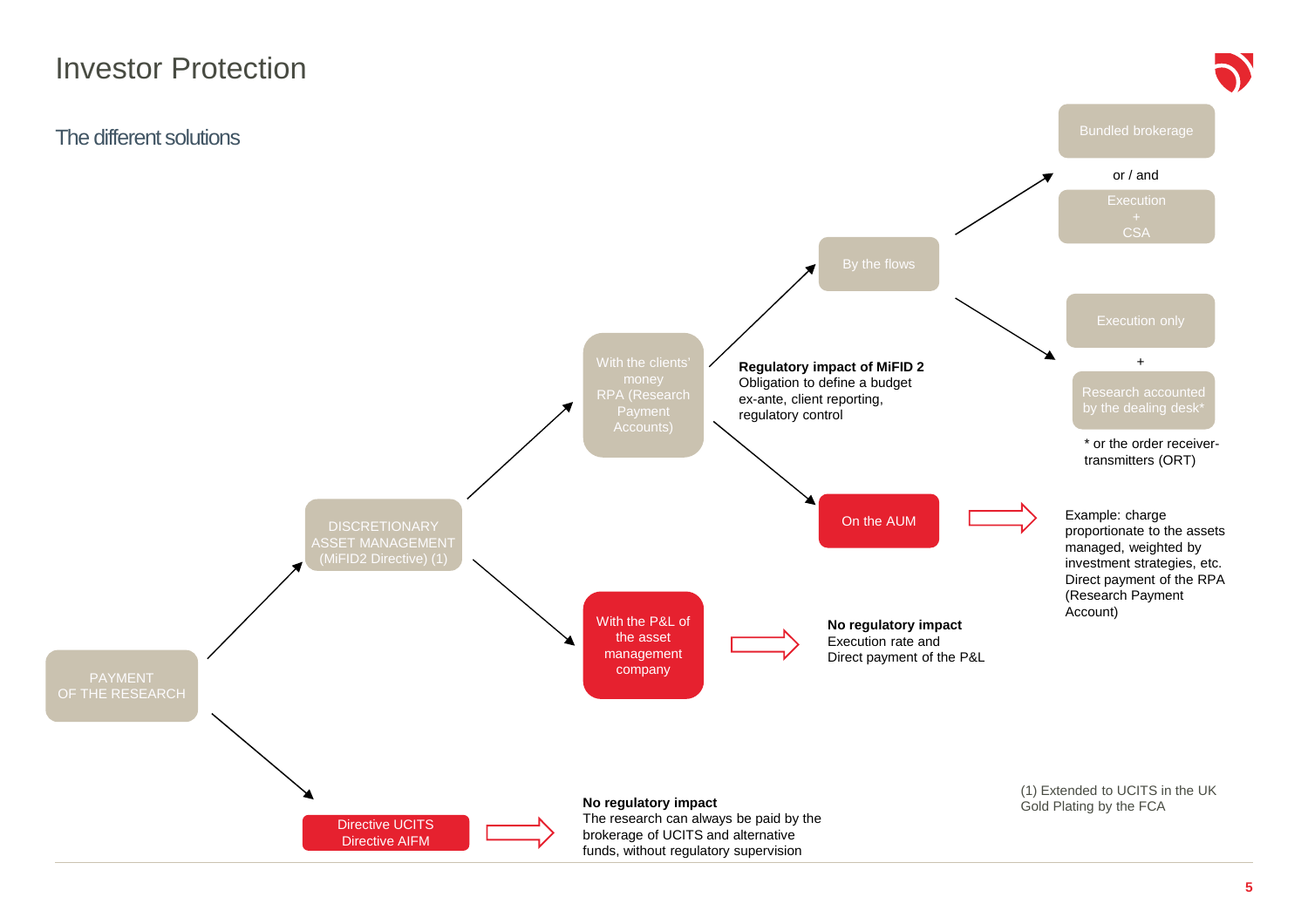#### Investor Protection

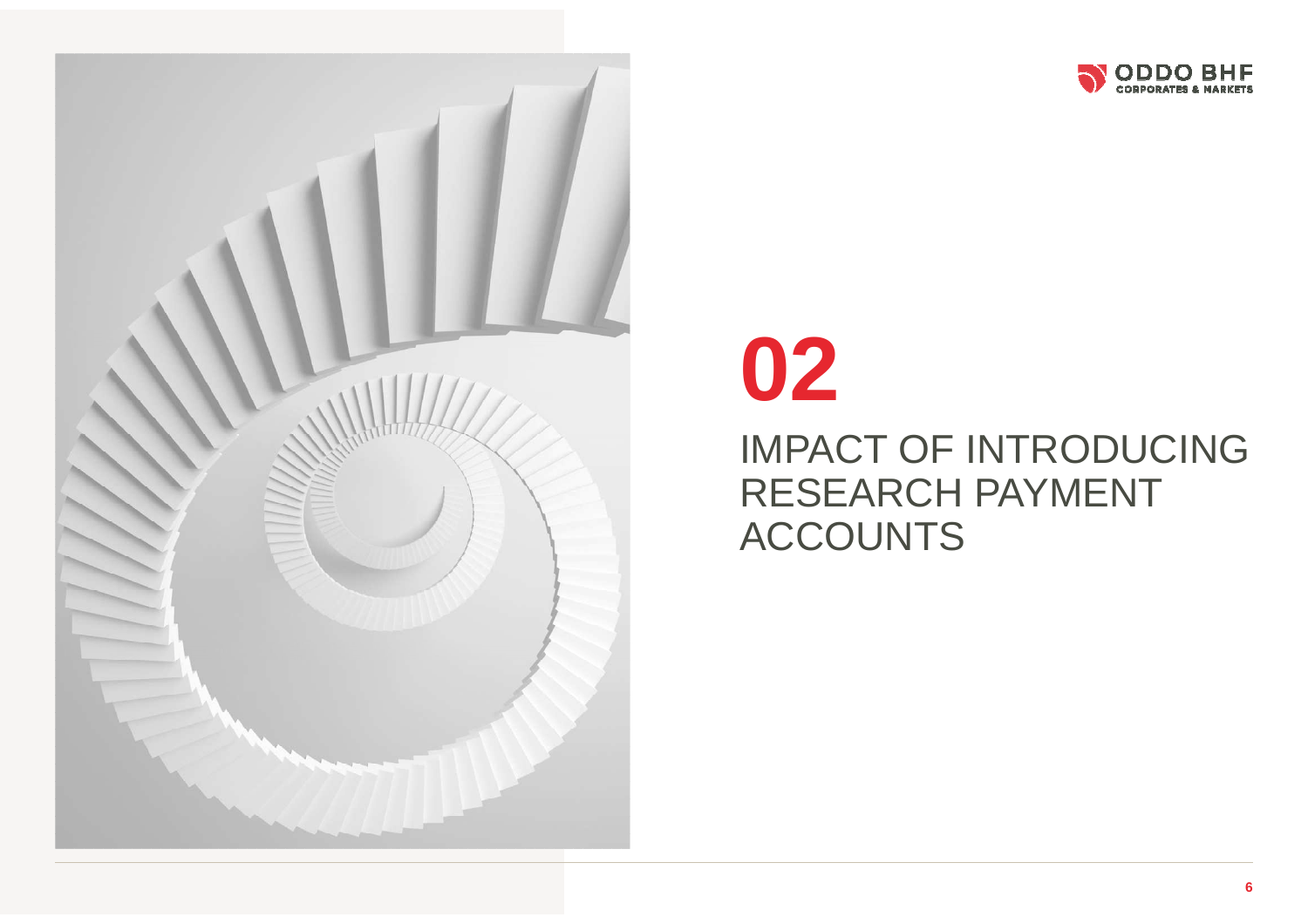



# **02**

## IMPACT OF INTRODUCING RESEARCH PAYMENT ACCOUNTS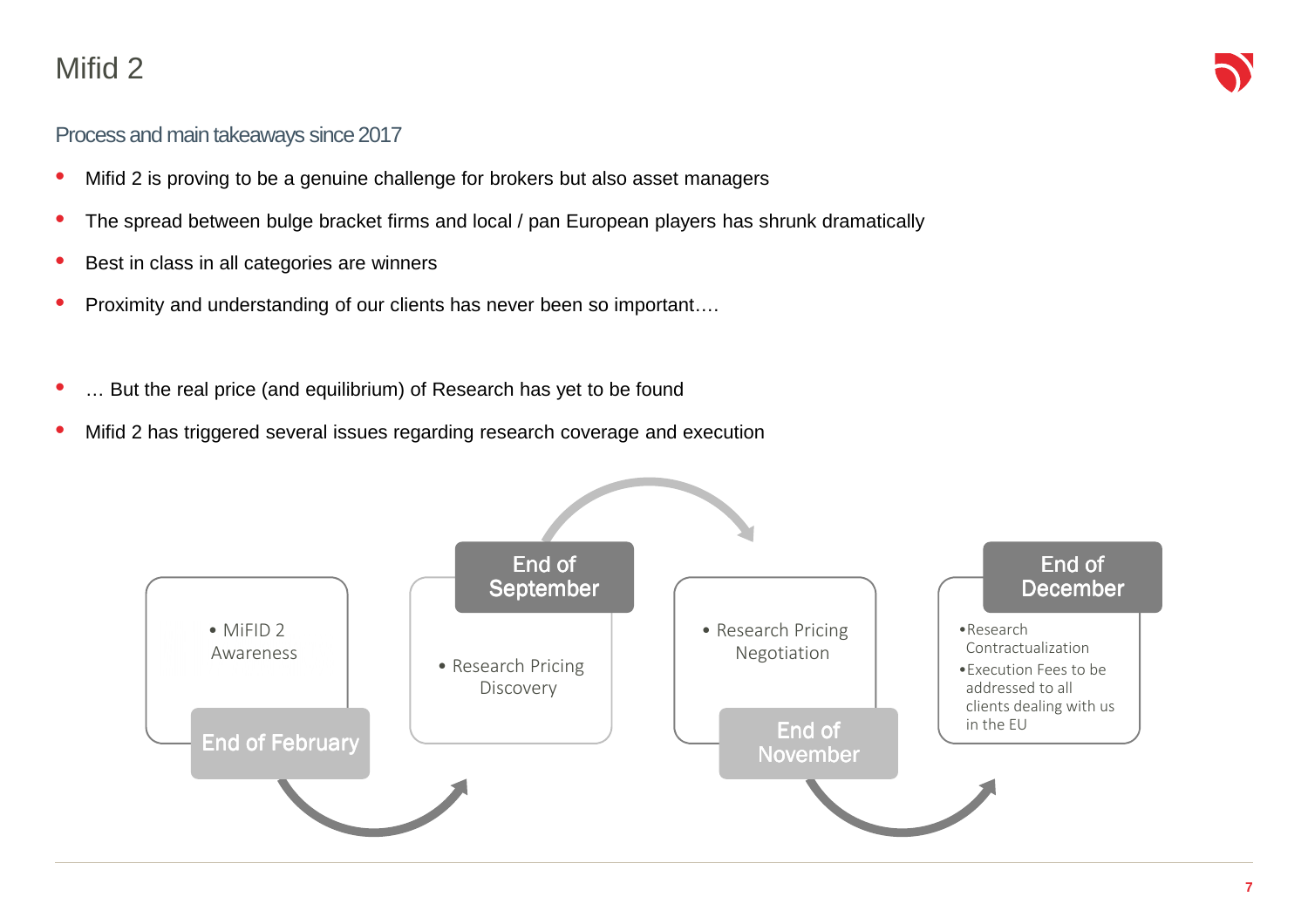## Mifid <sup>2</sup>

#### Process and main takeaways since 2017

- •Mifid 2 is proving to be a genuine challenge for brokers but also asset managers
- $\bullet$ The spread between bulge bracket firms and local / pan European players has shrunk dramatically
- •Best in class in all categories are winners
- •Proximity and understanding of our clients has never been so important….
- •… But the real price (and equilibrium) of Research has yet to be found
- $\bullet$ Mifid 2 has triggered several issues regarding research coverage and execution

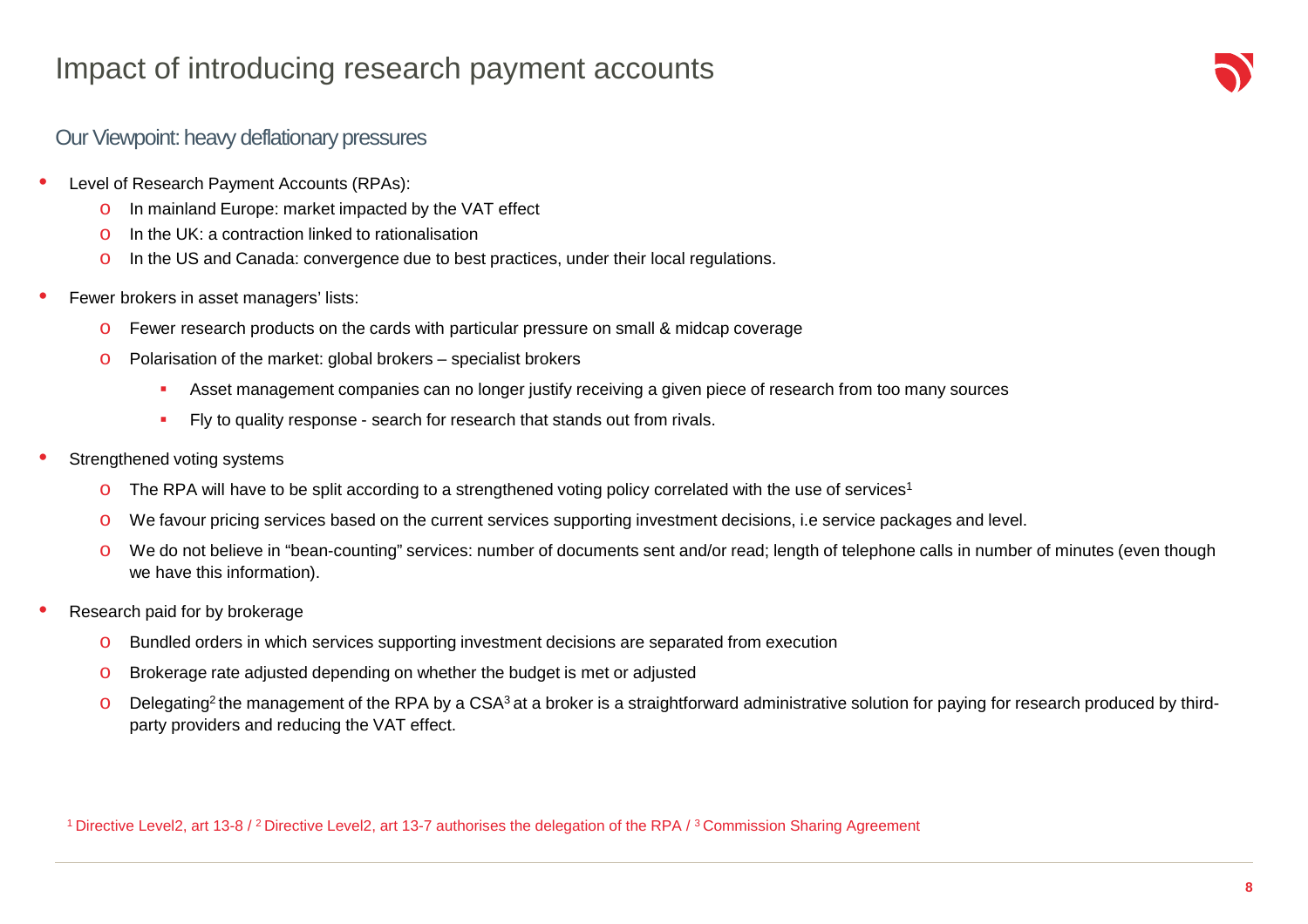#### Impact of introducing research payment accounts

#### Our Viewpoint: heavy deflationary pressures

- • Level of Research Payment Accounts (RPAs):
	- o In mainland Europe: market impacted by the VAT effect
	- $\circ$  In the UK: a contraction linked to rationalisation
	- o In the US and Canada: convergence due to best practices, under their local regulations.
- • Fewer brokers in asset managers' lists:
	- oFewer research products on the cards with particular pressure on small & midcap coverage
	- o Polarisation of the market: global brokers – specialist brokers
		- ×. Asset management companies can no longer justify receiving a given piece of research from too many sources
		- $\mathbf{r}$ Fly to quality response - search for research that stands out from rivals.
- • Strengthened voting systems
	- o The RPA will have to be split according to a strengthened voting policy correlated with the use of services<sup>1</sup>
	- oWe favour pricing services based on the current services supporting investment decisions, i.e service packages and level.
	- o We do not believe in "bean-counting" services: number of documents sent and/or read; length of telephone calls in number of minutes (even though we have this information).
- • Research paid for by brokerage
	- oBundled orders in which services supporting investment decisions are separated from execution
	- oBrokerage rate adjusted depending on whether the budget is met or adjusted
	- oDelegating<sup>2</sup> the management of the RPA by a CSA<sup>3</sup> at a broker is a straightforward administrative solution for paying for research produced by thirdparty providers and reducing the VAT effect.

1 Directive Level2, art 13-8 / 2 Directive Level2, art 13-7 authorises the delegation of the RPA / 3 Commission Sharing Agreement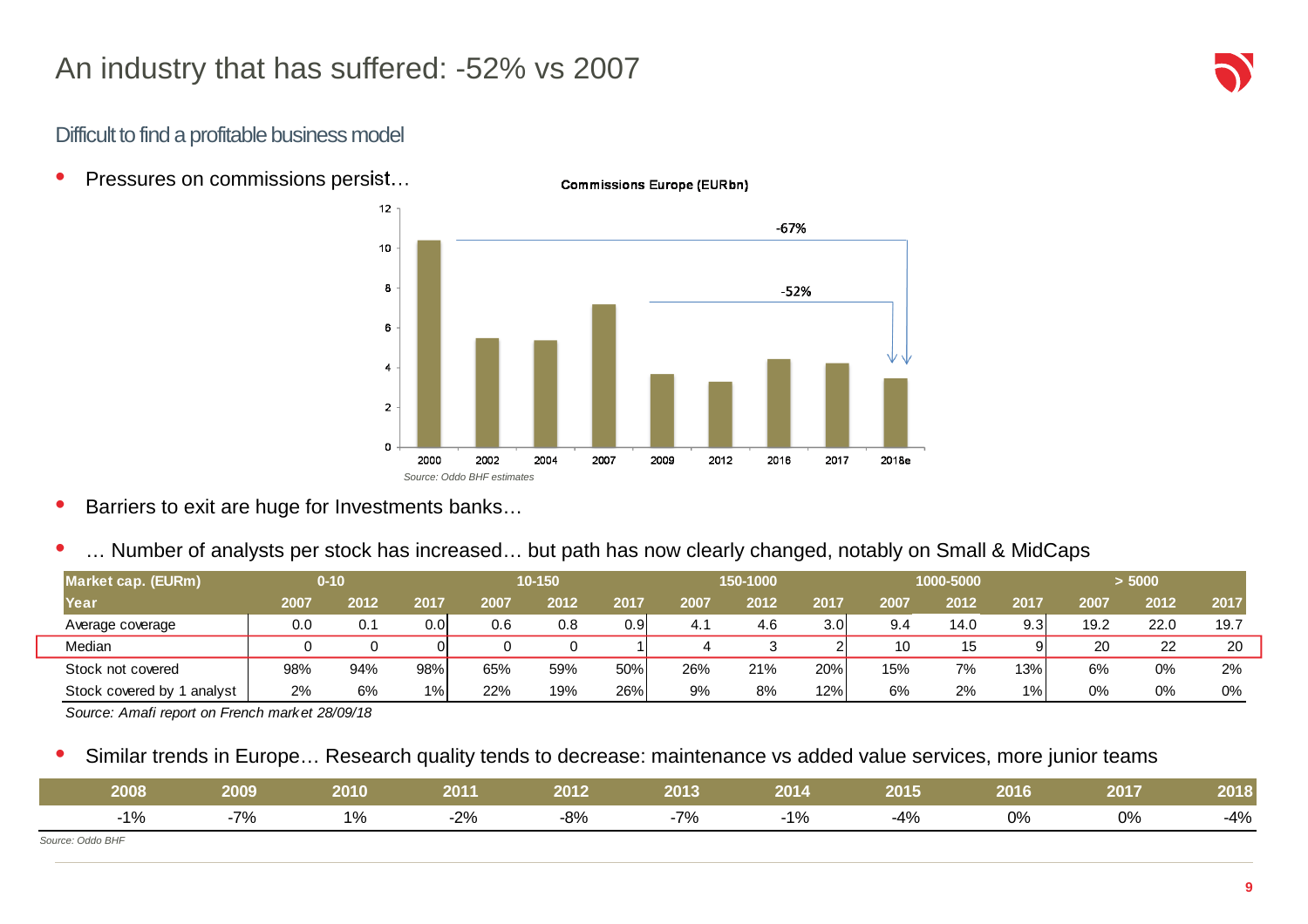#### Difficult to find a profitable business model

•Pressures on commissions persist…



- •Barriers to exit are huge for Investments banks…
- •… Number of analysts per stock has increased… but path has now clearly changed, notably on Small & MidCaps

| Market cap. (EURm)            |      | $0 - 10$ |       |      | 10-150 |                  |      | 150-1000 |      |      | 1000-5000 |         |      | > 5000 |      |
|-------------------------------|------|----------|-------|------|--------|------------------|------|----------|------|------|-----------|---------|------|--------|------|
| Year                          | 2007 | 2012     | 2017  | 2007 | 2012   | 2017             | 2007 | 2012     | 2017 | 2007 | 2012      | 2017    | 2007 | 2012   | 2017 |
| Average coverage              | 0.0  | 0.1      | 0.0   | 0.6  | 0.8    | 0.9 <sub>l</sub> | 4.1  | 4.6      | 3.0  | 9.4  | 14.0      | 9.3     | 19.2 | 22.0   | 19.7 |
| Median                        |      |          | O     |      |        |                  |      |          |      | 10   | 15        |         | 20   | ົດຕ    | 20   |
| Stock not covered             | 98%  | 94%      | 98%   | 65%  | 59%    | 50%              | 26%  | 21%      | 20%  | 15%  | 7%        | 13%     | 6%   | 0%     | 2%   |
| Stock covered by 1<br>analyst | 2%   | 6%       | $1\%$ | 22%  | 19%    | 26%              | 9%   | 8%       | 12%  | 6%   | 2%        | $1\%$ . | 0%   | 0%     | 0%   |

Source: Amafi report on French market 28/09/18

•Similar trends in Europe… Research quality tends to decrease: maintenance vs added value services, more junior teams

| 2008             | 2009 | 2010 | 2011                    | 2012                      | 2013 | 2014 | 2015  | 2016 | 2017 | 2018  |
|------------------|------|------|-------------------------|---------------------------|------|------|-------|------|------|-------|
| $1\%$            | 7%   | 1%   | 00 <sup>2</sup><br>-470 | 00 <sub>1</sub><br>$-070$ | -7%  | 1%   | $-4%$ | 0%   | 0%   | $-4%$ |
| Source: Oddo BHF |      |      |                         |                           |      |      |       |      |      |       |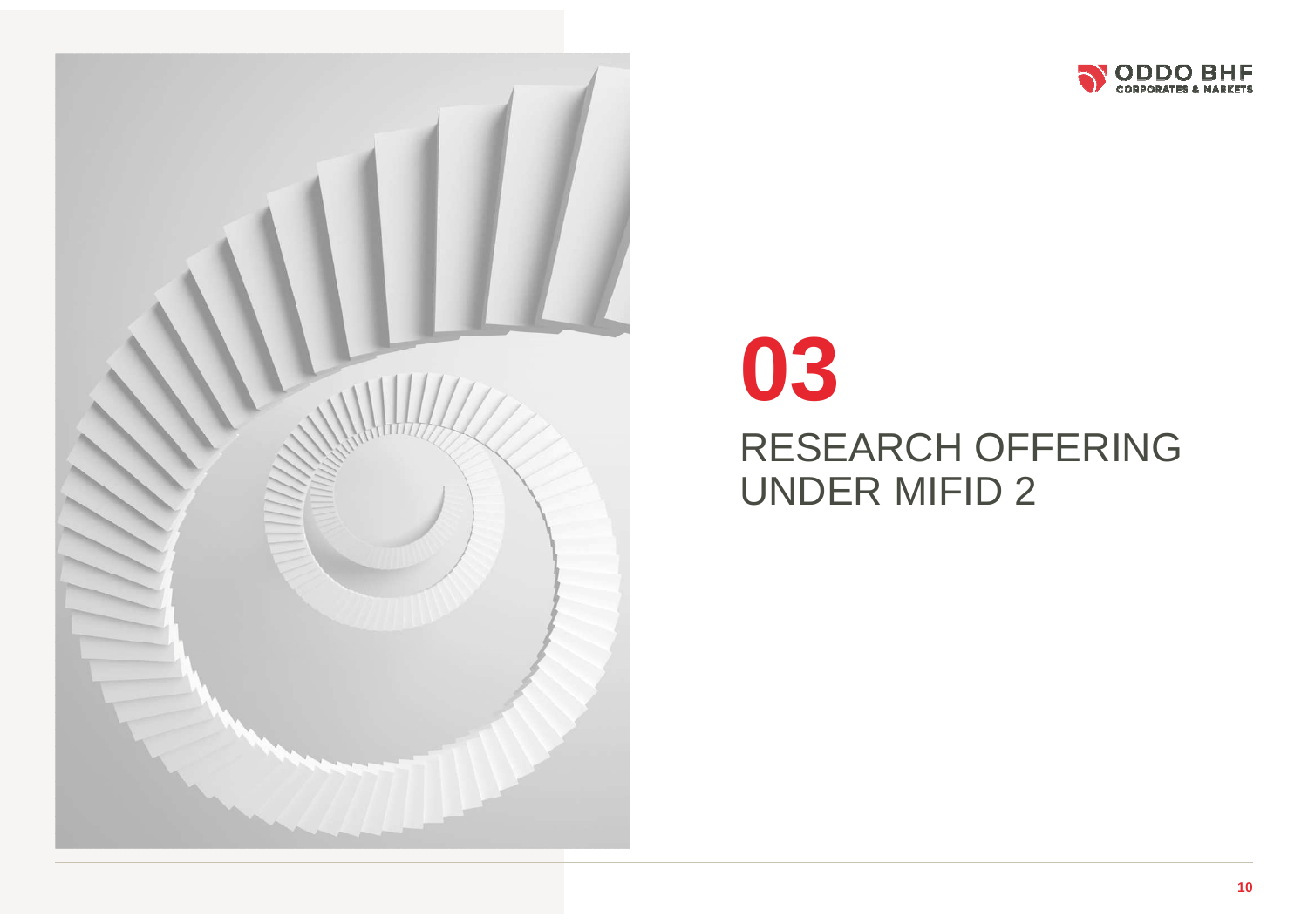



# RESEARCH OFFERING UNDER MIFID 2 **03**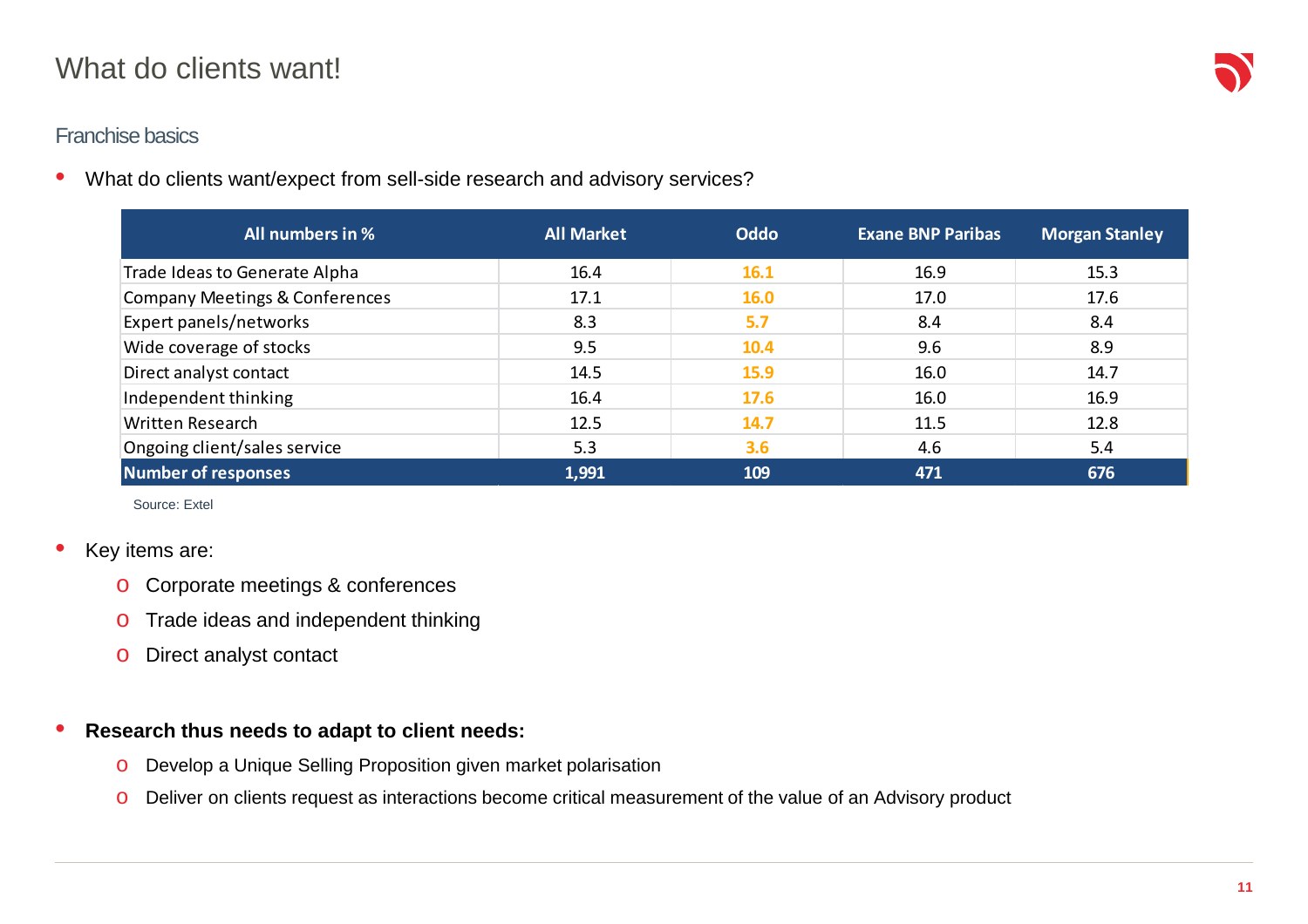#### What do clients want!

#### Franchise basics

•What do clients want/expect from sell-side research and advisory services?

| All numbers in %               | <b>All Market</b> | Oddo        | <b>Exane BNP Paribas</b> | <b>Morgan Stanley</b> |
|--------------------------------|-------------------|-------------|--------------------------|-----------------------|
| Trade Ideas to Generate Alpha  | 16.4              | 16.1        | 16.9                     | 15.3                  |
| Company Meetings & Conferences | 17.1              | <b>16.0</b> | 17.0                     | 17.6                  |
| Expert panels/networks         | 8.3               | 5.7         | 8.4                      | 8.4                   |
| Wide coverage of stocks        | 9.5               | 10.4        | 9.6                      | 8.9                   |
| Direct analyst contact         | 14.5              | 15.9        | 16.0                     | 14.7                  |
| Independent thinking           | 16.4              | 17.6        | 16.0                     | 16.9                  |
| Written Research               | 12.5              | 14.7        | 11.5                     | 12.8                  |
| Ongoing client/sales service   | 5.3               | 3.6         | 4.6                      | 5.4                   |
| <b>Number of responses</b>     | 1,991             | 109         | 471                      | 676                   |

Source: Extel

#### •Key items are:

- o Corporate meetings & conferences
- $\circ$  Trade ideas and independent thinking
- o Direct analyst contact

#### $\bullet$ **Research thus needs to adapt to client needs:**

- oDevelop a Unique Selling Proposition given market polarisation
- oDeliver on clients request as interactions become critical measurement of the value of an Advisory product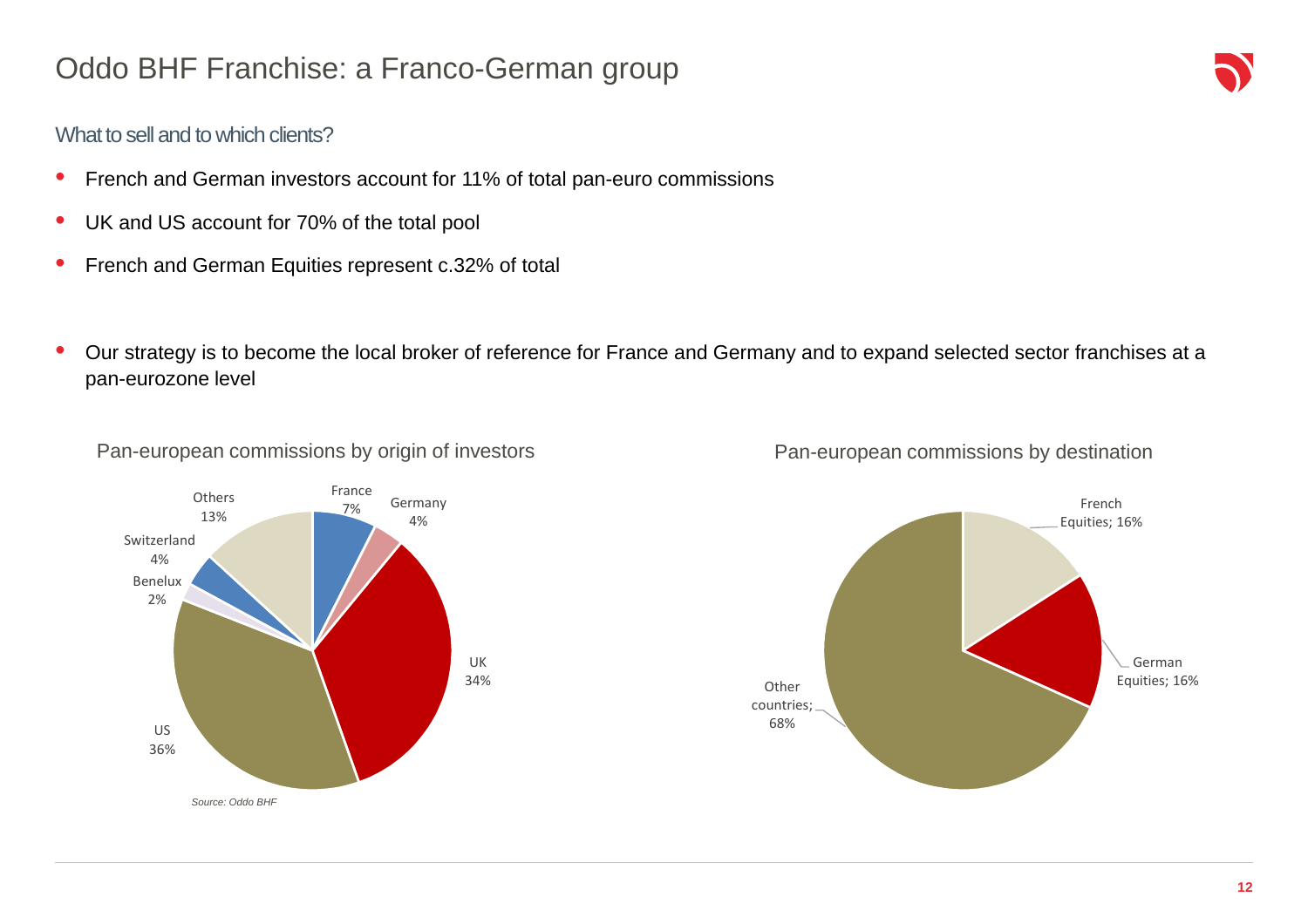## Oddo BHF Franchise: a Franco-German group

#### What to sell and to which clients?

- $\bullet$ French and German investors account for 11% of total pan-euro commissions
- $\bullet$ UK and US account for 70% of the total pool
- $\bullet$ French and German Equities represent c.32% of total
- • Our strategy is to become the local broker of reference for France and Germany and to expand selected sector franchises at a pan-eurozone level



Pan-european commissions by origin of investors



#### Pan-european commissions by destination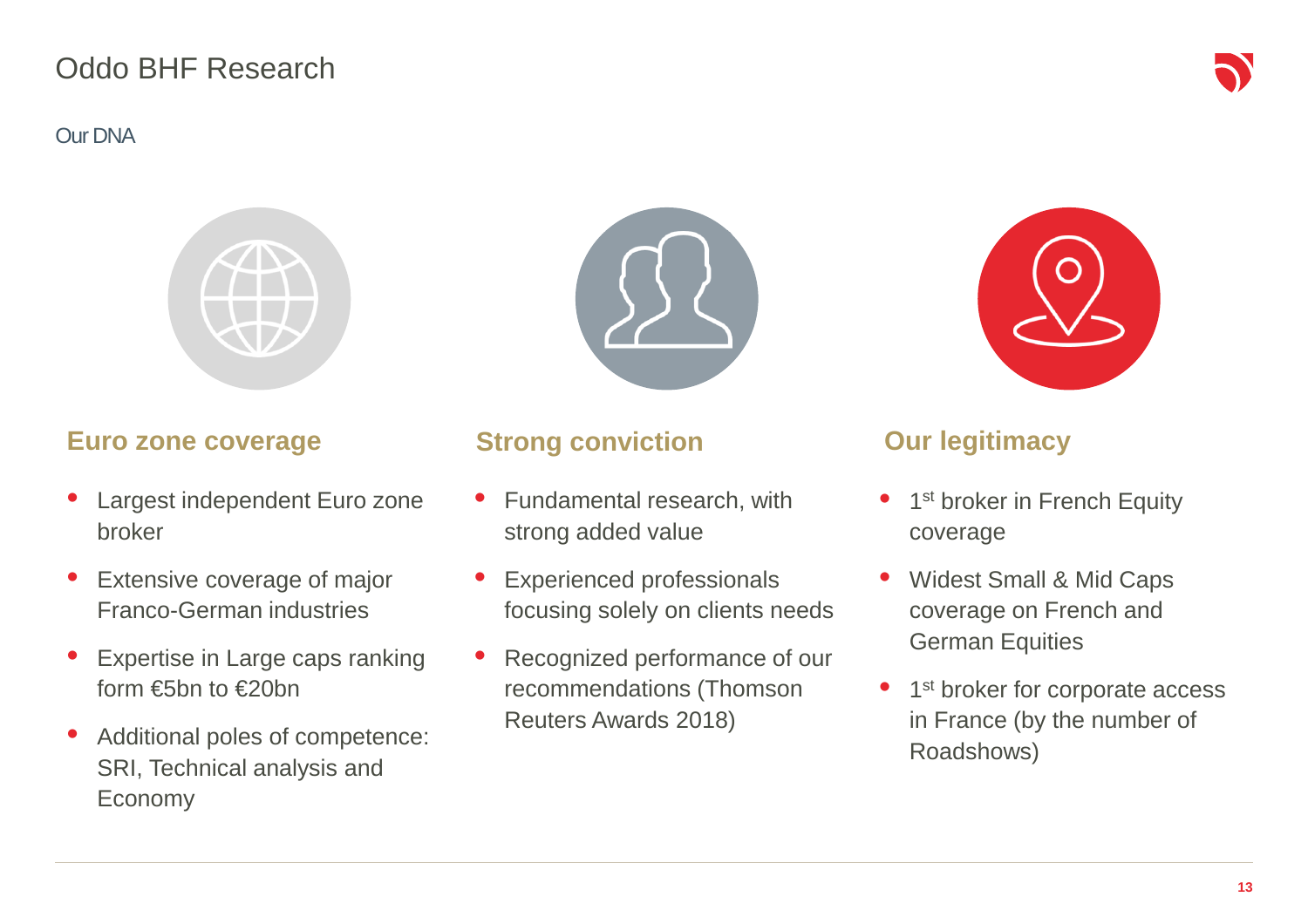### Oddo BHF Research

#### Our DNA



#### **Euro zone coverage**

- • Largest independent Euro zone broker
- • Extensive coverage of major Franco-German industries
- • Expertise in Large caps ranking form €5bn to €20bn
- • Additional poles of competence: SRI, Technical analysis and Economy



#### **Strong conviction**

- • Fundamental research, with strong added value
- $\bullet$  Experienced professionals focusing solely on clients needs
- • Recognized performance of our recommendations (Thomson Reuters Awards 2018)

#### **Our legitimacy**

- •1<sup>st</sup> broker in French Equity coverage
- $\bullet$  Widest Small & Mid Caps coverage on French and German Equities
- •1<sup>st</sup> broker for corporate access in France (by the number of Roadshows)

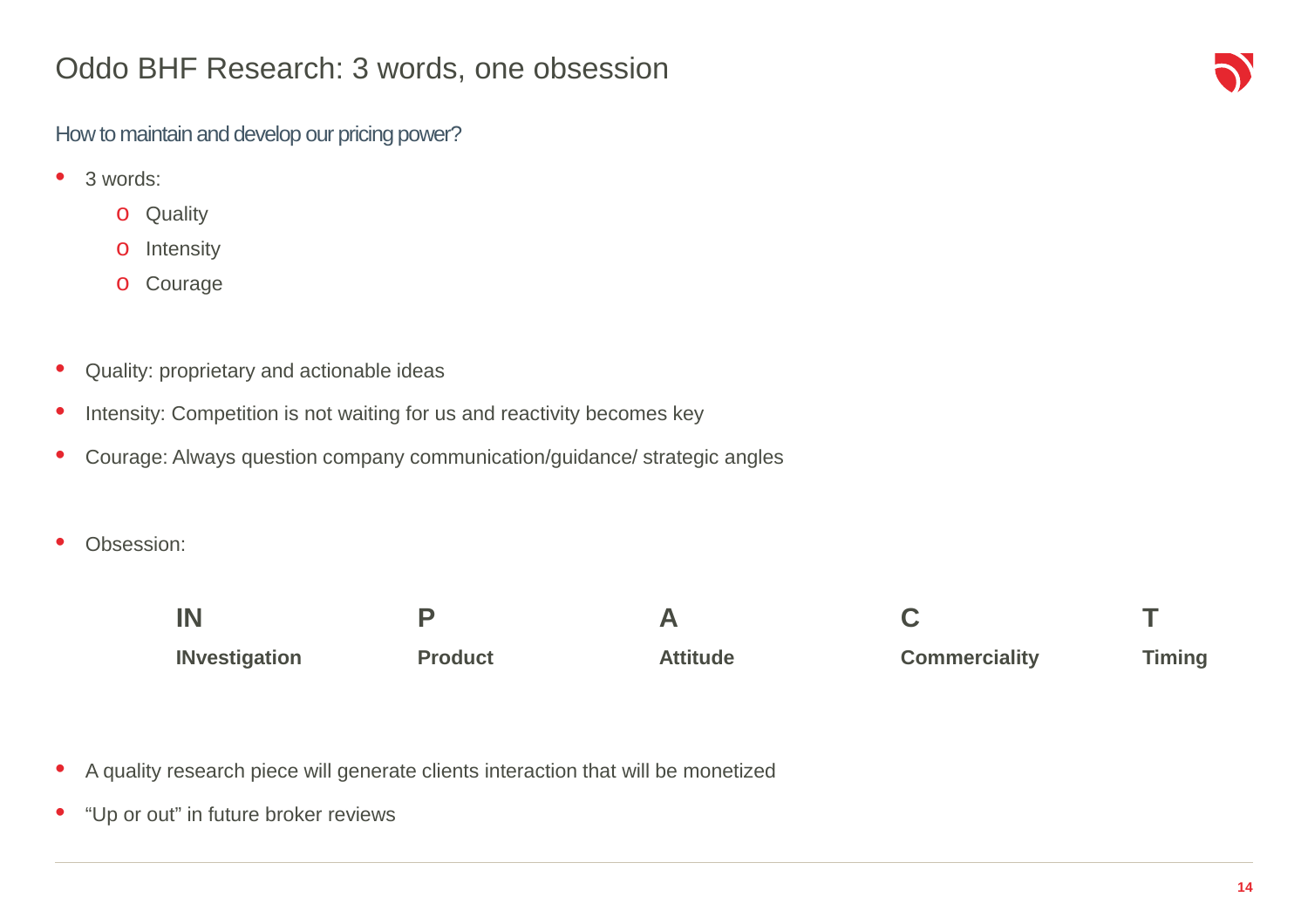#### Oddo BHF Research: 3 words, one obsession

#### How to maintain and develop our pricing power?

- $\bullet$  3 words:
	- o Quality
	- o**Intensity**
	- o Courage
- $\bullet$ Quality: proprietary and actionable ideas
- $\bullet$ Intensity: Competition is not waiting for us and reactivity becomes key
- $\bullet$ Courage: Always question company communication/guidance/ strategic angles
- •Obsession:

| IN                   |                |                 |                      |               |
|----------------------|----------------|-----------------|----------------------|---------------|
| <b>INvestigation</b> | <b>Product</b> | <b>Attitude</b> | <b>Commerciality</b> | <b>Timing</b> |

- $\bullet$ A quality research piece will generate clients interaction that will be monetized
- $\bullet$ "Up or out" in future broker reviews

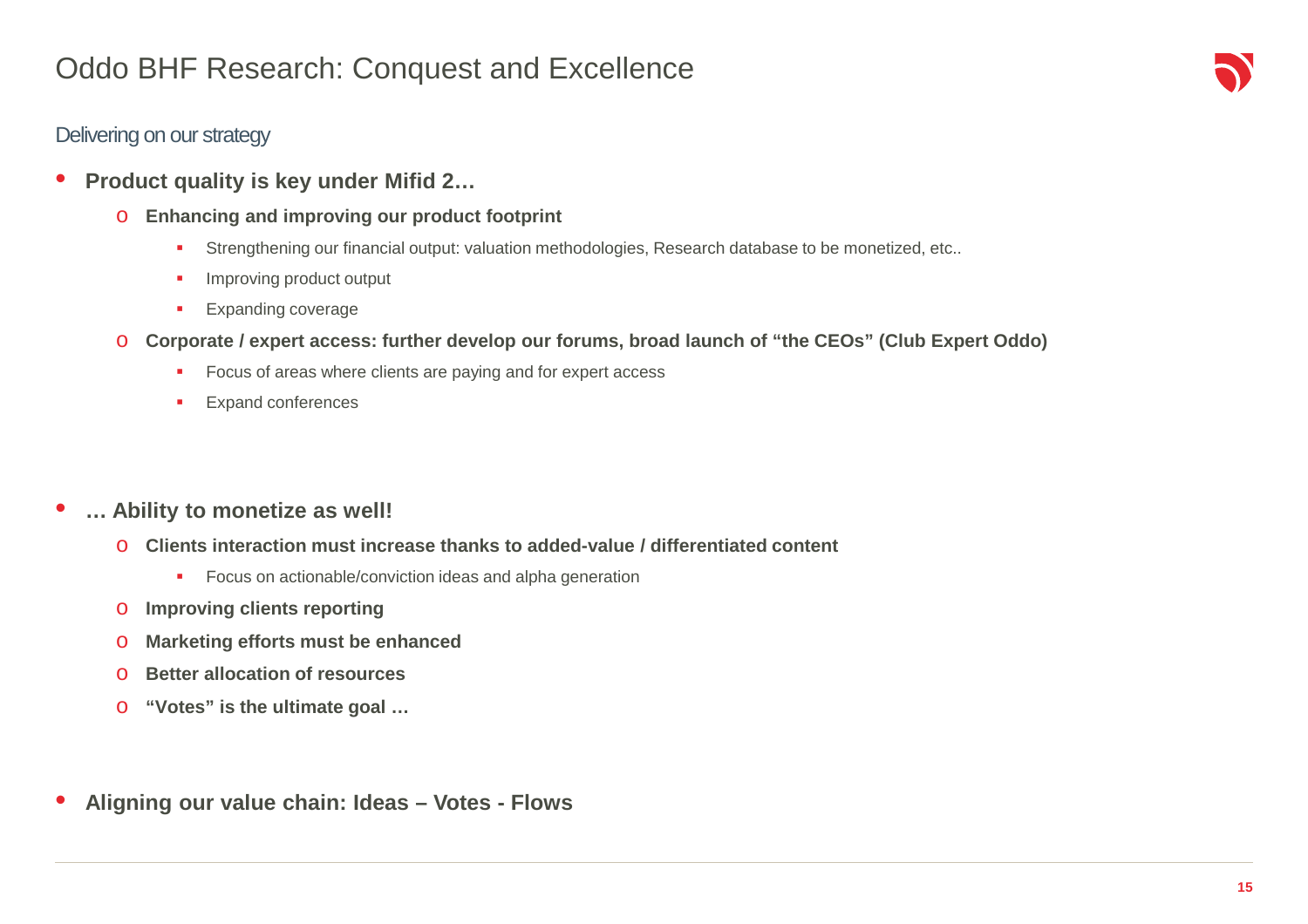### Oddo BHF Research: Conquest and Excellence

#### Delivering on our strategy

- • **Product quality is key under Mifid 2…**
	- o **Enhancing and improving our product footprint**
		- $\mathbf{r}$ Strengthening our financial output: valuation methodologies, Research database to be monetized, etc..
		- $\mathbf{r}$ Improving product output
		- $\mathbf{r}_\mathrm{c}$ Expanding coverage
	- o **Corporate / expert access: further develop our forums, broad launch of "the CEOs" (Club Expert Oddo)**
		- $\mathbf{r}$ Focus of areas where clients are paying and for expert access
		- $\mathbf{r}$ Expand conferences

#### •**… Ability to monetize as well!**

- o **Clients interaction must increase thanks to added-value / differentiated content**
	- **Focus on actionable/conviction ideas and alpha generation**
- o**Improving clients reporting**
- o**Marketing efforts must be enhanced**
- o**Better allocation of resources**
- o**"Votes" is the ultimate goal …**
- $\bullet$ **Aligning our value chain: Ideas – Votes - Flows**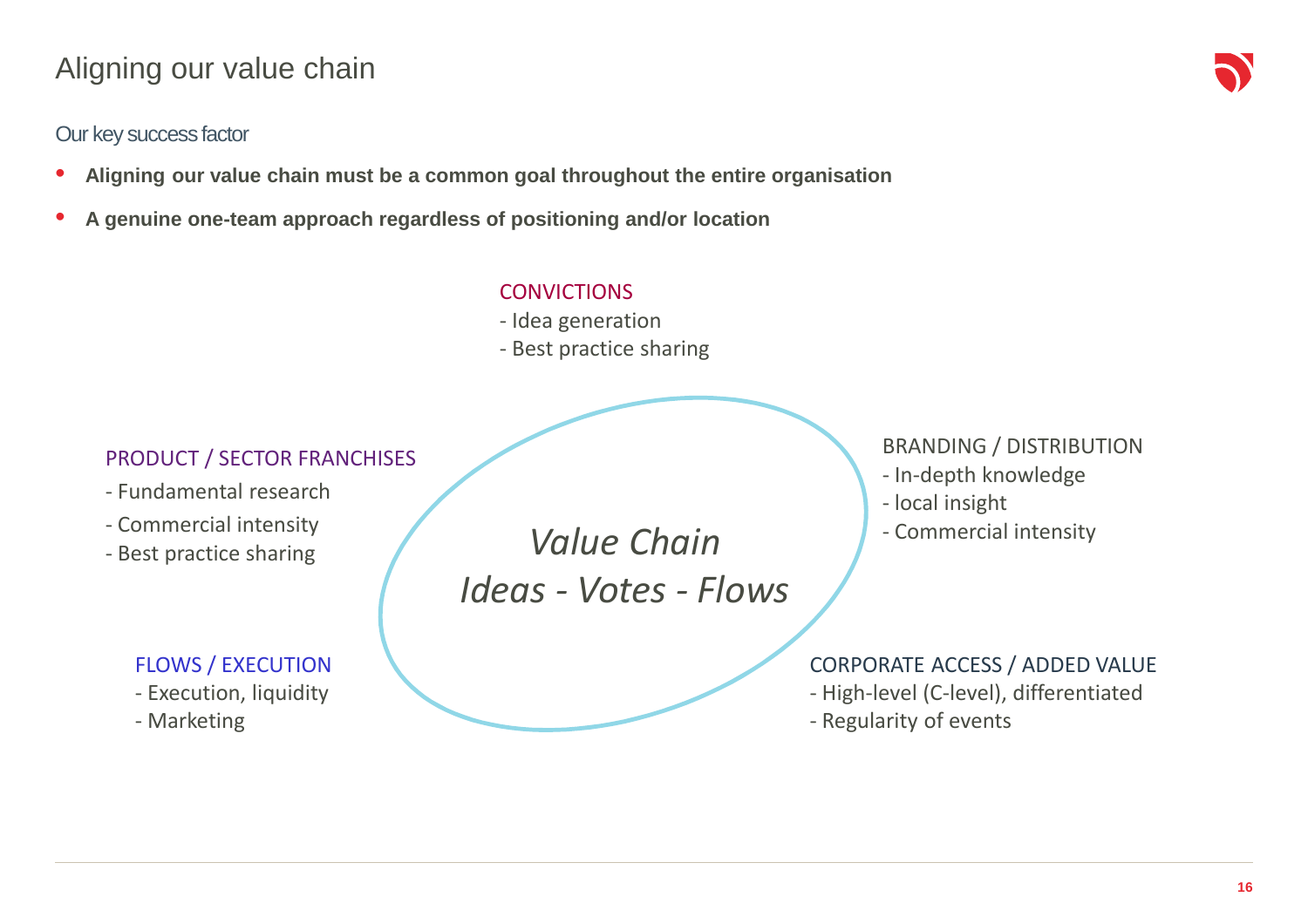### Aligning our value chain

#### Our key success factor

- $\bullet$ **Aligning our value chain must be a common goal throughout the entire organisation**
- •**A genuine one-team approach regardless of positioning and/or location**

#### **CONVICTIONS**

- Idea generation
- Best practice sharing

#### PRODUCT / SECTOR FRANCHISES

- Fundamental research
- Commercial intensity
- Best practice sharing

#### FLOWS / EXECUTION

- Execution, liquidity

- Marketing

*Value ChainIdeas - Votes - Flows* BRANDING / DISTRIBUTION

- In-depth knowledge
- local insight
- Commercial intensity

#### CORPORATE ACCESS / ADDED VALUE

- High-level (C-level), differentiated
- Regularity of events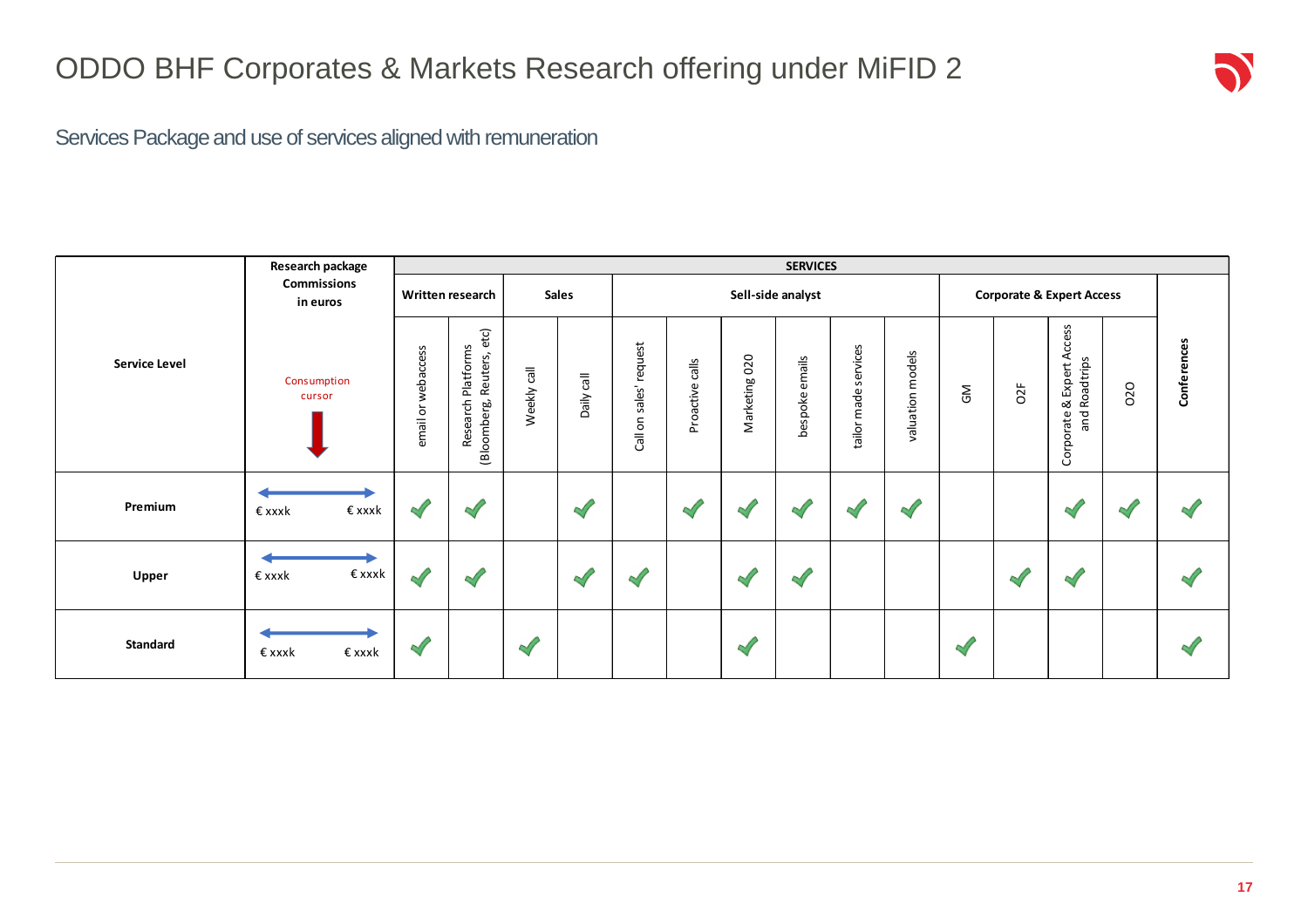Services Package and use of services aligned with remuneration

|                                               | <b>SERVICES</b>                |                       |                                                       |              |               |                                |                 |               |                   |                                      |                  |              |     |                                                      |     |             |
|-----------------------------------------------|--------------------------------|-----------------------|-------------------------------------------------------|--------------|---------------|--------------------------------|-----------------|---------------|-------------------|--------------------------------------|------------------|--------------|-----|------------------------------------------------------|-----|-------------|
|                                               | <b>Commissions</b><br>in euros | Written research      |                                                       | <b>Sales</b> |               | Sell-side analyst              |                 |               |                   | <b>Corporate &amp; Expert Access</b> |                  |              |     |                                                      |     |             |
| <b>Service Level</b><br>Consumption<br>cursor |                                | webaccess<br>email or | etc)<br>Research Platforms<br>Reuters,<br>(Bloomberg, | Weekly call  | Daily call    | request<br>sales'<br>Call on : | Proactive calls | Marketing 020 | emails<br>bespoke | services<br>tailor made              | valuation models | $\mathsf{S}$ | O2F | e & Expert Access<br>1 Roadtrips<br>and<br>Corporate | 020 | Conferences |
| Premium                                       | € xxxk<br>€xxxk                | $\sqrt{}$             | $\prec$                                               |              | $\mathscr{A}$ |                                | $\mathcal{A}$   |               |                   | $\sim$                               |                  |              |     | ∾                                                    | 87  |             |
| Upper                                         | €xxxk<br>€xxxk                 | $\mathbb{Z}$          | $\prec$                                               |              | $\sqrt{2}$    |                                |                 | $\sim$        |                   |                                      |                  |              |     |                                                      |     |             |
| Standard                                      | € xxxk<br>€ xxxk               | $\mathscr{A}$         |                                                       | $\sqrt{2}$   |               |                                |                 | $\sqrt{2}$    |                   |                                      |                  | $\mathscr A$ |     |                                                      |     |             |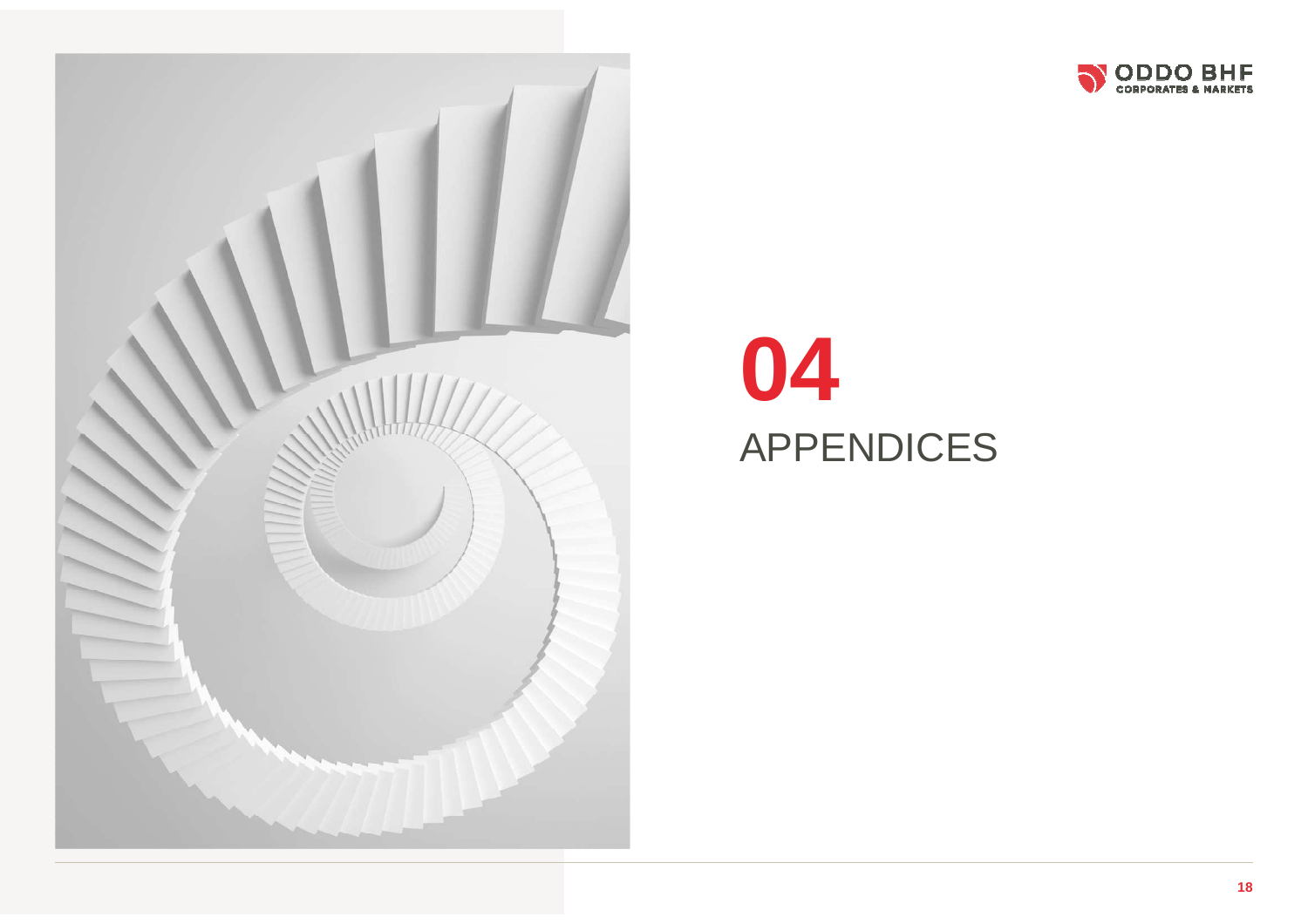



# APPENDICES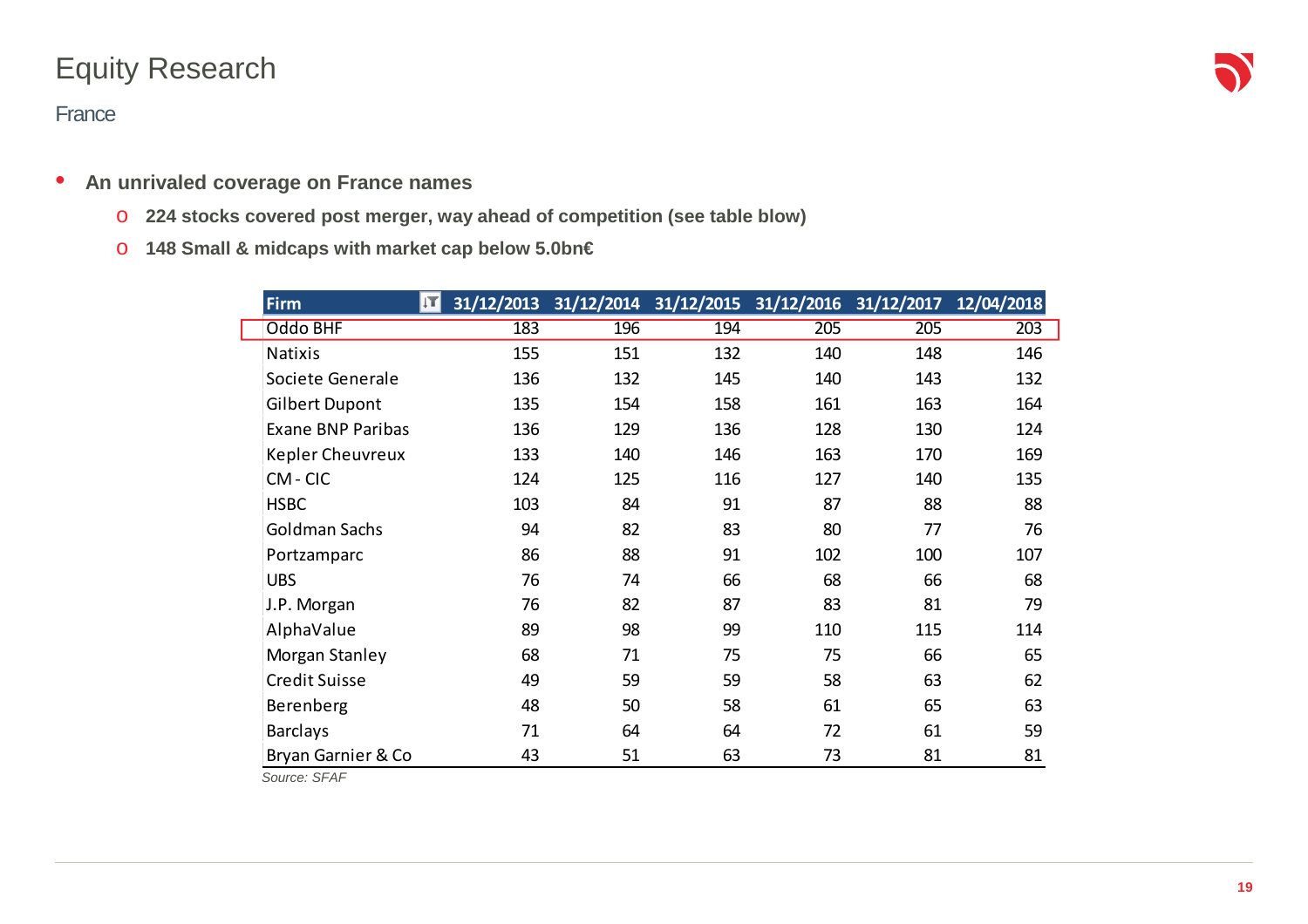## Equity Research

#### **France**

- • **An unrivaled coverage on France names**
	- o **224 stocks covered post merger, way ahead of competition (see table blow)**
	- o **148 Small & midcaps with market cap below 5.0bn€**

| <b>Firm</b>              | ĮT. |     | 31/12/2013 31/12/2014 31/12/2015 31/12/2016 31/12/2017 12/04/2018 |     |     |     |
|--------------------------|-----|-----|-------------------------------------------------------------------|-----|-----|-----|
| Oddo BHF                 | 183 | 196 | 194                                                               | 205 | 205 | 203 |
| <b>Natixis</b>           | 155 | 151 | 132                                                               | 140 | 148 | 146 |
| Societe Generale         | 136 | 132 | 145                                                               | 140 | 143 | 132 |
| <b>Gilbert Dupont</b>    | 135 | 154 | 158                                                               | 161 | 163 | 164 |
| <b>Exane BNP Paribas</b> | 136 | 129 | 136                                                               | 128 | 130 | 124 |
| <b>Kepler Cheuvreux</b>  | 133 | 140 | 146                                                               | 163 | 170 | 169 |
| CM-CIC                   | 124 | 125 | 116                                                               | 127 | 140 | 135 |
| <b>HSBC</b>              | 103 | 84  | 91                                                                | 87  | 88  | 88  |
| Goldman Sachs            | 94  | 82  | 83                                                                | 80  | 77  | 76  |
| Portzamparc              | 86  | 88  | 91                                                                | 102 | 100 | 107 |
| <b>UBS</b>               | 76  | 74  | 66                                                                | 68  | 66  | 68  |
| J.P. Morgan              | 76  | 82  | 87                                                                | 83  | 81  | 79  |
| AlphaValue               | 89  | 98  | 99                                                                | 110 | 115 | 114 |
| Morgan Stanley           | 68  | 71  | 75                                                                | 75  | 66  | 65  |
| <b>Credit Suisse</b>     | 49  | 59  | 59                                                                | 58  | 63  | 62  |
| Berenberg                | 48  | 50  | 58                                                                | 61  | 65  | 63  |
| <b>Barclays</b>          | 71  | 64  | 64                                                                | 72  | 61  | 59  |
| Bryan Garnier & Co       | 43  | 51  | 63                                                                | 73  | 81  | 81  |

Source: SFAF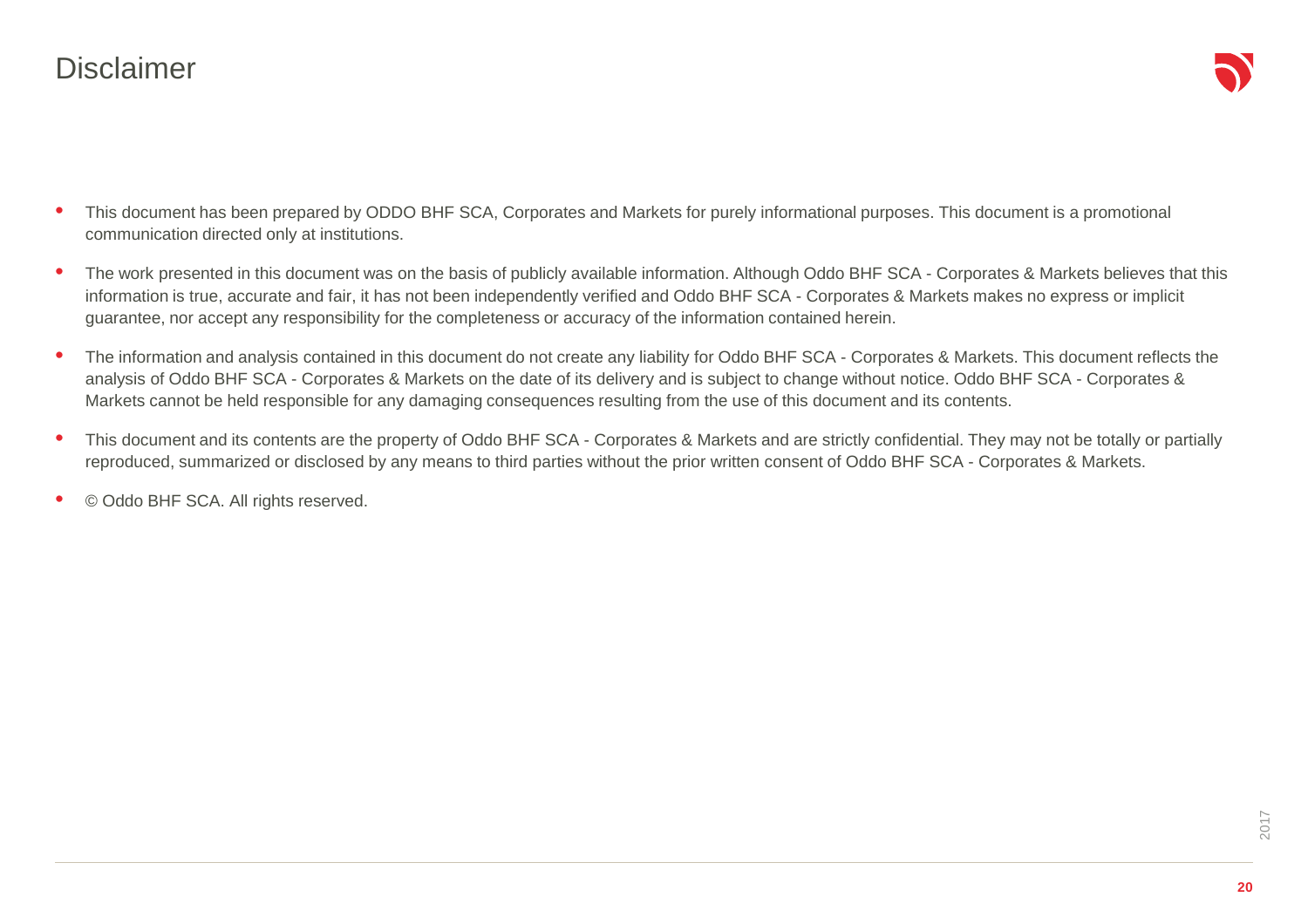#### **Disclaimer**

- • This document has been prepared by ODDO BHF SCA, Corporates and Markets for purely informational purposes. This document is a promotional communication directed only at institutions.
- • The work presented in this document was on the basis of publicly available information. Although Oddo BHF SCA - Corporates & Markets believes that this information is true, accurate and fair, it has not been independently verified and Oddo BHF SCA - Corporates & Markets makes no express or implicit guarantee, nor accept any responsibility for the completeness or accuracy of the information contained herein.
- • The information and analysis contained in this document do not create any liability for Oddo BHF SCA - Corporates & Markets. This document reflects the analysis of Oddo BHF SCA - Corporates & Markets on the date of its delivery and is subject to change without notice. Oddo BHF SCA - Corporates & Markets cannot be held responsible for any damaging consequences resulting from the use of this document and its contents.
- $\bullet$  This document and its contents are the property of Oddo BHF SCA - Corporates & Markets and are strictly confidential. They may not be totally or partially reproduced, summarized or disclosed by any means to third parties without the prior written consent of Oddo BHF SCA - Corporates & Markets.
- •© Oddo BHF SCA. All rights reserved.